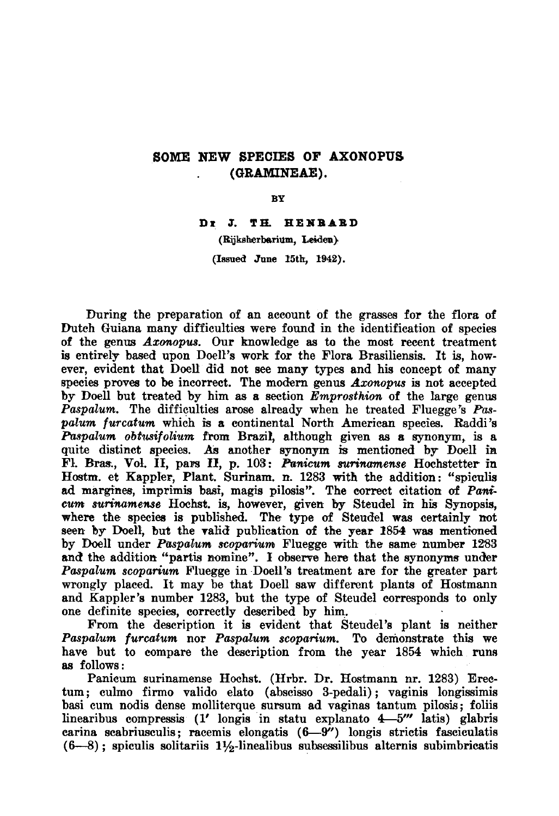## Some new species of Axonopus (GRAMINEAE).

BY

Dr J.Th. Henrard

(Rijksherbarium, Leiden). (Issued June 15th, 1942).

During the preparation of an account of the grasses for the flora of Dutch Guiana many difficulties were found in the identification of species of the genus Axonopus. Our knowledge as to the most recent treatment is entirely based upon Doell's work for the Flora Brasiliensis. It is, however, evident that Doell did not see many types and his concept of many species proves to be incorrect. The modern genus Axonopus is not accepted by Doell but treated by him as a section Emprosthion of the large genus Paspalum. The difficulties arose already when he treated Fluegge's Paspalum furcatum which is <sup>a</sup> continental North American species. Raddi's Paspalum obtusifolium from Brazil, although given as a synonym, is a quite distinct species. As another synonym is mentioned by Doell in Fl. Bras., Vol. II, pars II, p. 103: Panicum surinamense Hochstetter in Hostm. et Kappler, Plant. Surinam, n. <sup>1283</sup> with the addition: "spiculis ad margines, imprimis basi, magis pilosis". The correct citation of Panicum surinamense Hochst. is, however, given by Steudel in his Synopsis, where the species is published. The type of Steudel was certainly not seen by Doell, but the valid publication of the year 1854 was mentioned by Doell under Paspalum scoparium Fluegge with the same number 1283 and the addition "partis nomine". I observe here that the synonyms under Paspalum scoparium Fluegge in Doell's treatment are for the greater part wrongly placed. It may be that Doell saw different plants of Hostmann and Kappler's number 1283, but the type of Steudel corresponds to only one definite species, correctly described by him.

From the description it is evident that Steudel's plant is neither Paspalum furcatum nor Paspalum scoparium. To demonstrate this we have but to compare the description from the year 1854 which runs as follows:

Panicum surinamense Hochst. (Hrbr. Dr. Hostmann nr. 1283) Erectum; culmo firmo valido elato (abscisso 3-pedali); vaginis longissimis basi cum nodis dense molliterque sursum ad vaginas tantum pilosis; foliis linearibus compressis (1' longis in statu explanato 4—5''' latis) glabris carina scabriusculis; racemis elongatis (6—9'') longis strictis fasciculatis  $(6-8)$ ; spiculis solitariis 1½-linealibus subsessilibus alternis subimbricatis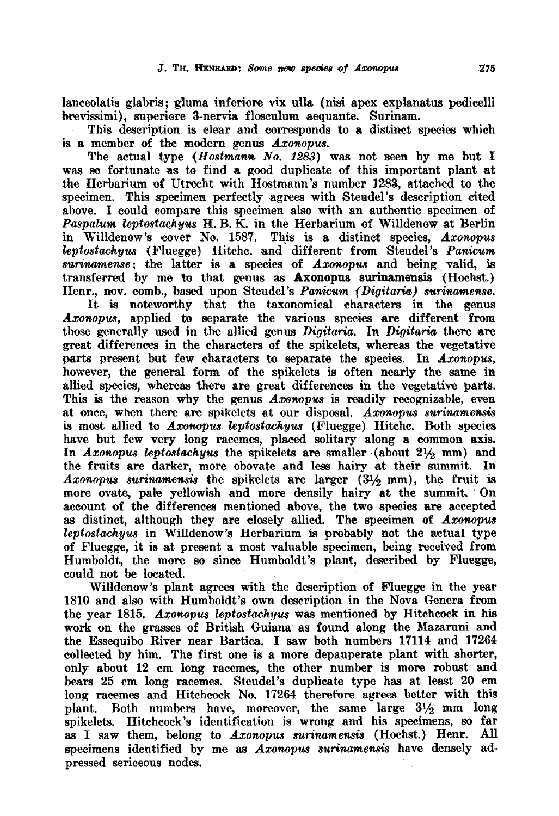lanceolatis glabris; gluma inferiore vix ulla (nisi apex explanatus pedicelli brevissimi), superiore 3-nervia flosculum aequante. Surinam.

This description is clear and corresponds to <sup>a</sup> distinct species which is <sup>a</sup> member of the modern genus Axonopus.

The actual type  $(Hostmann No, 1283)$  was not seen by me but I was so fortunate as to find a good duplicate of this important plant at the Herbarium of Utrecht with Hostmann's number 1283, attached to the specimen. This specimen perfectly agrees with Steudel's description cited above. I could compare this specimen also with an authentic specimen of Paspalum leptostachyus H. B. K. in the Herbarium of Willdenow at Berlin in Willdenow's cover No. 1587. This is <sup>a</sup> distinct species, Axonopus leptostachyus (Fluegge) Hitchc. and different from Steudel's Panicum surinamense; the latter is a species of  $Axi$ onopus and being valid, is transferred by me to that genus as Axonopus surinamensis (Hochst.) Henr., nov. comb., based upon Steudel's Panicum (Digitaria) surinamense.

It is noteworthy that the taxonomical characters in the genus Axonopus, applied to separate the various species are different from those generally used in the allied genus Digitaria. In Digitaria there are great differences in the characters of the spikelcts, whereas the vegetative parts present but few characters to separate the species. In Axonopus, however, the general form of the spikelets is often nearly the same in allied species, whereas there are great differences in the vegetative parts. This is the reason why the genus Axonopus is readily recognizable, even at once, when there are spikeiets at our disposal. Axonopus surinamensis is most allied to Axonopus leptostachyus (Fluegge) Hitchc. Both species have but few very long racemes, placed solitary along <sup>a</sup> common axis. In Axonopus leptostachyus the spikelets are smaller  $(about 21/2 mm)$  and the fruits are darker, more obovate and less hairy at their summit. In  $A$ *xonopus surinamensis* the spikelets are larger  $(3\frac{1}{2}$  mm), the fruit is more ovate, pale yellowish and more densily hairy at the summit. On account of the differences mentioned above, the two species are accepted as distinct, although they are closely allied. The specimen of Axonopus leptostachyus in Willdenow's Herbarium is probably not the actual type of Fluegge, it is at present <sup>a</sup> most valuable specimen, being received from Humboldt, the more so since Humboldt's plant, described by Fluegge, could not be located.

Willdenow's plant agrees with the description of Fluegge in the year 1810 and also with Humboldt's own description in the Nova Genera from the year 1815. Axonopus leptostachyus was mentioned by Hitchcock in his work on the grasses of British Guiana as found along the Mazaruni and the Essequibo River near Bartica. I saw both numbers <sup>17114</sup> and <sup>17264</sup> collected by him. The first one is <sup>a</sup> more depauperate plant with shorter, only about <sup>12</sup> cm long racemes, the other number is more robust and bears 25 cm long racemes. Steudel's duplicate type has at least 20 cm long racemes and Hitchcock No. 17264 therefore agrees better with this plant. Both numbers have, moreover, the same large  $3\frac{1}{2}$  mm long spikelets. Hitchcock's identification is wrong and his specimens, so far as I saw them, belong to Axonopus surinamensis (Hochst.) Henr. All specimens identified by me as Axonopus surinamensis have densely adpressed sericeous nodes.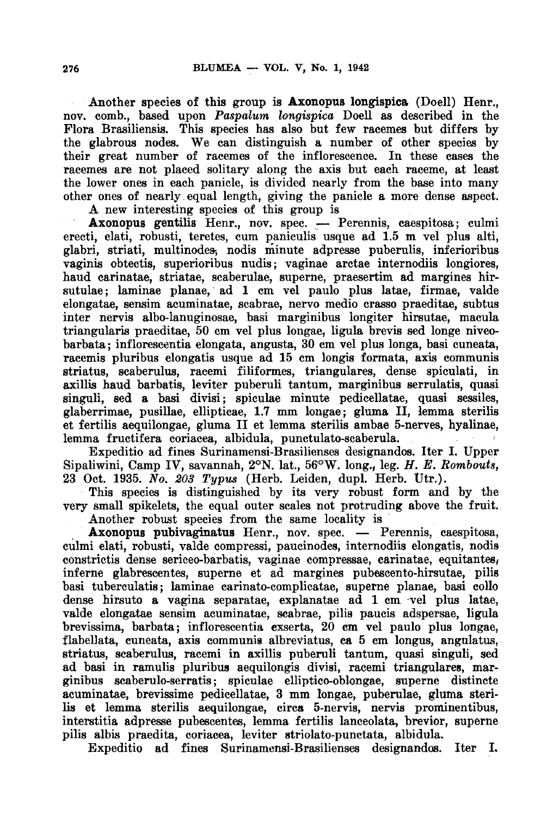Another species of this group is Axonopus longispica (Doell) Henr., nov. comb., based upon Paspalum longispica Doell as described in the Flora Brasiliensis. This species has also but few racemes but differs by the glabrous nodes. We can distinguish a number of other species by their great number of racemes of the inflorescence. In these cases the racemes are not placed solitary along the axis but each raceme, at least the lower ones in each panicle, is divided nearly from the base into many other ones of nearly equal length, giving the panicle a more dense aspect.

A new interesting species of this group is

Axonopus gentilis Henr., nov. spec. — Perennis, caespitosa; culmi erecti, elati, robusti, teretes, cum paniculis usque ad 1.5 m vel plus alti, glabri, striati, multinodes, nodis minute adpresse puberulis, inferioribus vaginis obtectis, superioribus nudis; vaginae arctae internodiis longiores, haud carinatae, striatae, scaberulae, superne, praesertim ad margines hirsutulae; laminae planae, ad <sup>1</sup> cm vel paulo plus latae, firmae, valde elongatae, sensim acuminatae, scabrae, nervo medio crasso praeditae, subtus inter nervis albo-lanuginosae, basi marginibus longiter hirsutae, macula triangularis praeditae, 50 cm vel plus longae, ligula brevis sed longe niveobarbata; inflorescentia elongata, angusta, 30 cm vel plus longa, basi cuneata, racemis pluribus elongatis usque ad 15 cm longis formata, axis communis striatus, scaberulus, racemi filiformes, triangulares, dense spiculati, in axillis haud barbatis, leviter puberuli tantum, marginibus serrulatis, quasi singuli, sed a basi divisi; spiculae minute pedicellatae, quasi sessiles, glaberrimae, pusillae, ellipticae, 1.7 mm longae; gluma II, lemma sterilis et fertilis aequilongae, gluma II et lemma sterilis ambae 5-nerves, hyalinae, lemma fructifera coriacea, albidula, punctulato-scaberula.

Expeditio ad fines Surinamensi-Brasilienses designandos. Iter I. Upper Sipaliwini, Camp IV, savannah, 2°N. lat., 56°W. long., leg. H. E. Kombouts, <sup>23</sup> Oct. 1935. No. 203 Typus (Herb. Leiden, dupl. Herb. Utr.).

This species is distinguished by its very robust form and by the very small spikelets, the equal outer scales not protruding above the fruit. Another robust species from the same locality is

Axonopus pubivaginatus Henr., nov. spec. — Perennis, caespitosa, culmi elati, robusti, valde compressi, paucinodes, internodiis elongatis, nodis constrictis dense sericeo-barbatis, vaginae compressae, carinatae, equitantes, inferne glabrescentes, superne et ad margines pubescento-hirsutae, pilis basi tuberculatis; laminae carinato-complicatae, superne planae, basi collo dense hirsuto a vagina separatae, explanatae ad <sup>1</sup> cm vel plus latae, valde elongatae sensim acuminatae, scabrae, pilis paucis adspersae, ligula brevissima, barbata; inflorescentia exserta, 20 cm vel paulo plus longae, flabellata, cuneata, axis communis albreviatus, ca <sup>5</sup> cm longus, angulatus, striatus, scaberulus, racemi in axillis puberuli tantum, quasi singuli, sed ad basi in ramulis pluribus aequilongis divisi, racemi triangulares, marginibus scaberulo-serratis; spiculae elliptico-oblongae, superne distincte acuminatae, brevissime pedicellatae, 3 mm longae, puberulae, gluma sterilis et lemma sterilis aequilongae, circa 5-nervis, nervis prominentibus, interstitia adpresse pubescentes, lemma fertilis lanceolata, brevior, superne pilis albis praedita, coriacea, leviter striolato-punctata, albidula.

Expeditio ad fines Surinamensi-Brasilienses designandos. Iter I.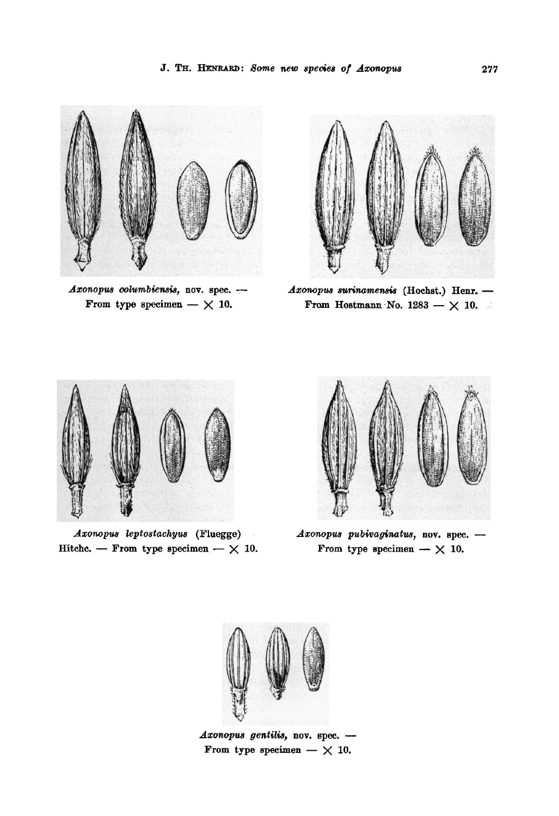

Axonopus columbiensis, nov. spec. - Axonopus surinamensis From type specimen  $- \times 10$ .



 $A$ xonopus surinamensis (Hochst.) Henr. -From Hostmann No.  $1283 - \times 10$ .



Hitchc. — From type specimen —  $\times$  10. Axonopus leptostachyus



(Fluegge) *Axonopus pubivaginatus*, nov. spec. --From type specimen  $-\times 10$ .



Axonopus gentilis, nov. spec. -From type specimen  $- \times 10$ .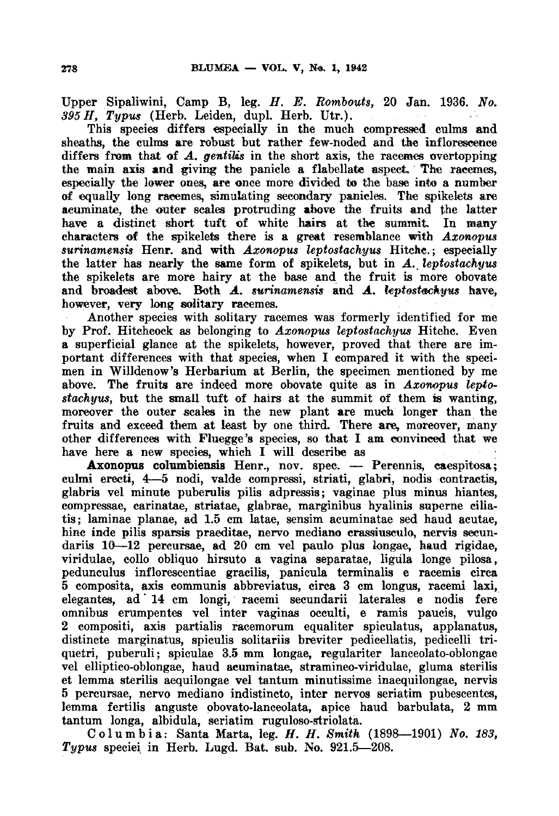Upper Sipaliwini, Camp B, leg. H. E. Rombouts, 20 Jan. 1936. No.  $395 H$ , Typus (Herb. Leiden, dupl. Herb. Utr.).

This species differs especially in the much compressed culms and sheaths, the culms are robust but rather few-noded and the inflorescence differs from that of  $\boldsymbol{A}$ , gentilis in the short axis, the racemes overtopping the main axis and giving the panicle <sup>a</sup> flabellate aspect. The racemes, especially the lower ones, are once more divided to the base into a number of equally long racemes, simulating secondary panicles. The spikelets are acuminate, the outer scales protruding above the fruits and the latter have <sup>a</sup> distinct short tuft of white hairs at the summit. In many characters of the spikelets there is <sup>a</sup> great resemblance with Axonopus surinamensis Henr. and with Axonopus leptostachyus Hitche.; especially the latter has nearly the same form of spikelets, but in A. leptostachyus the spikelets are more hairy at the base and the fruit is more obovate and broadest above. Both A. surinamensis and A. leptostachyus have, however, very long solitary racemes.

Another species with solitary racemes was formerly identified for me by Prof. Hitchcock as belonging to Axonopus leptostachyus Hitchc. Even a superficial glance at the spikelets, however, proved that there are important differences with that species, when I compared it with the specimen in Willdenow's Herbarium at Berlin, the specimen mentioned by me above. The fruits are indeed more obovate quite as in Axonopus leptostachyus, but the small tuft of hairs at the summit of them is wanting, moreover the outer scales in the new plant are much longer than the fruits and exceed them at least by one third. There are, moreover, many other differences with Fluegge's species, so that I am convinced that we have here <sup>a</sup> new species, which I will describe as

Axonopus columbiensis Henr., nov. spec. — Perennis, caespitosa; culmi erecti, 4—5 nodi, valde compressi, striati, glabri, nodis contractis, glabris vel minute puberulis pilis adpressis; vaginae plus minus hiantes, compressae, carinatae, striatae, glabrae, marginibus hyalinis superne ciliatis; laminae planae, ad 1.5 cm latae, sensim acuminatae sed haud acutae, hinc inde pilis sparsis praeditae, nervo mediano crassiusculo, nervis secundariis 10—12 percursae, ad 20 cm vel paulo plus longae, haud rigidae, viridulae, collo obliquo hirsuto <sup>a</sup> vagina separatae, ligula longe pilosa, pedunculus inflorescentiae gracilis, panicula terminalis <sup>e</sup> racemis circa 5 composita, axis communis abbreviatus, circa <sup>3</sup> cm longus, racemi laxi, elegantes, ad 14 cm longi, racemi secundarii laterales <sup>e</sup> nodis fere omnibus erumpentes vel inter vaginas occulti, <sup>e</sup> ramis paucis, vulgo 2 compositi, axis partialis racemorum equaliter spiculatus, applanatus, distincte marginatus, spiculis solitariis breviter pedicellatis, pedicelli triquetri, puberuli; spiculae 3.5 mm longae, regulariter lanceolato-oblongae vel elliptico-oblongae, haud acuminatae, stramineo-viridulae, gluma sterilis et lemma sterilis aequilongae vel tantum minutissime inaequilongae, nervis 5 percursae, nervo mediano indistincto, inter nervos seriatim pubescentes, lemma fertilis anguste obovato-lanceolata, apice haud barbulata, <sup>2</sup> mm tantum longa, albidula, seriatim ruguloso-striolata.

Columbia: Santa Marta, leg. H. H. Smith  $(1898-1901)$  No. 183, Typus speciei in Herb. Lugd. Bat. sub. No. 921.5—208.